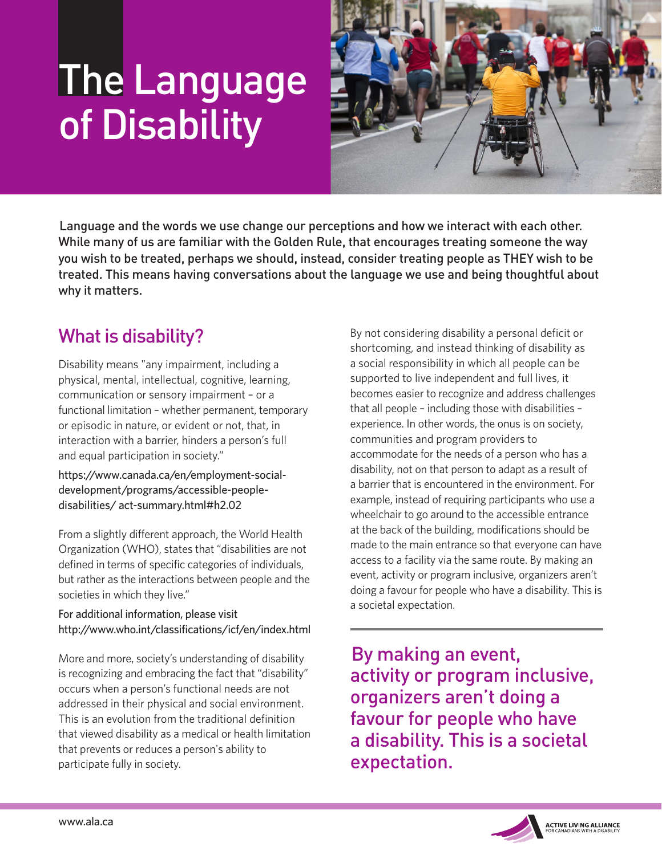# The Language of Disability



Language and the words we use change our perceptions and how we interact with each other. While many of us are familiar with the Golden Rule, that encourages treating someone the way you wish to be treated, perhaps we should, instead, consider treating people as THEY wish to be treated. This means having conversations about the language we use and being thoughtful about why it matters.

# What is disability?

Disability means "any impairment, including a physical, mental, intellectual, cognitive, learning, communication or sensory impairment – or a functional limitation – whether permanent, temporary or episodic in nature, or evident or not, that, in interaction with a barrier, hinders a person's full and equal participation in society."

https://www.canada.ca/en/employment-socialdevelopment/programs/accessible-peopledisabilities/ act-summary.html#h2.02

From a slightly different approach, the World Health Organization (WHO), states that "disabilities are not defined in terms of specific categories of individuals, but rather as the interactions between people and the societies in which they live."

For additional information, please visit http://www.who.int/classifications/icf/en/index.html

More and more, society's understanding of disability is recognizing and embracing the fact that "disability" occurs when a person's functional needs are not addressed in their physical and social environment. This is an evolution from the traditional definition that viewed disability as a medical or health limitation that prevents or reduces a person's ability to participate fully in society.

By not considering disability a personal deficit or shortcoming, and instead thinking of disability as a social responsibility in which all people can be supported to live independent and full lives, it becomes easier to recognize and address challenges that all people – including those with disabilities – experience. In other words, the onus is on society, communities and program providers to accommodate for the needs of a person who has a disability, not on that person to adapt as a result of a barrier that is encountered in the environment. For example, instead of requiring participants who use a wheelchair to go around to the accessible entrance at the back of the building, modifications should be made to the main entrance so that everyone can have access to a facility via the same route. By making an event, activity or program inclusive, organizers aren't doing a favour for people who have a disability. This is a societal expectation.

By making an event, activity or program inclusive, organizers aren't doing a favour for people who have a disability. This is a societal expectation.

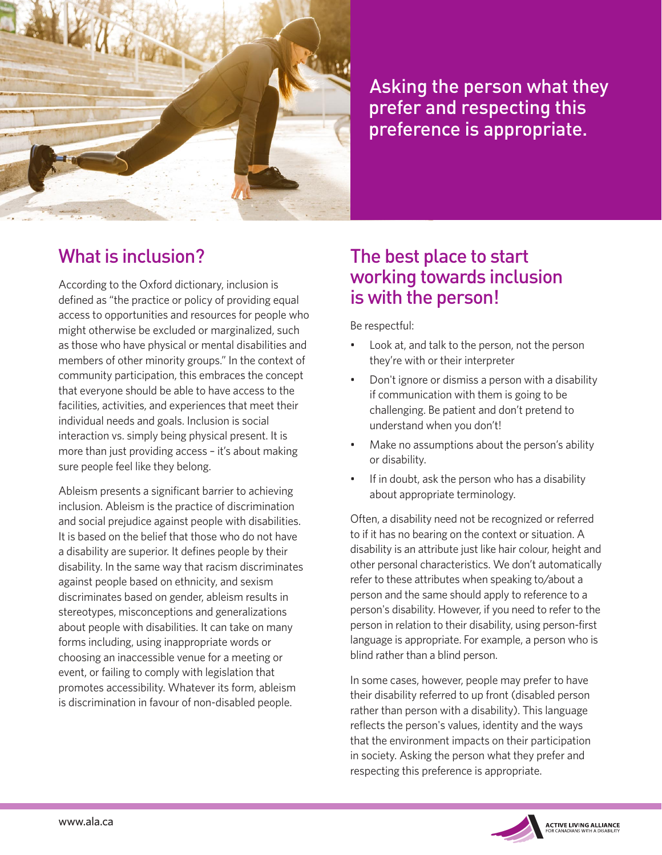

Asking the person what they prefer and respecting this preference is appropriate.

## What is inclusion?

According to the Oxford dictionary, inclusion is defined as "the practice or policy of providing equal access to opportunities and resources for people who might otherwise be excluded or marginalized, such as those who have physical or mental disabilities and members of other minority groups." In the context of community participation, this embraces the concept that everyone should be able to have access to the facilities, activities, and experiences that meet their individual needs and goals. Inclusion is social interaction vs. simply being physical present. It is more than just providing access – it's about making sure people feel like they belong.

Ableism presents a significant barrier to achieving inclusion. Ableism is the practice of discrimination and social prejudice against people with disabilities. It is based on the belief that those who do not have a disability are superior. It defines people by their disability. In the same way that racism discriminates against people based on ethnicity, and sexism discriminates based on gender, ableism results in stereotypes, misconceptions and generalizations about people with disabilities. It can take on many forms including, using inappropriate words or choosing an inaccessible venue for a meeting or event, or failing to comply with legislation that promotes accessibility. Whatever its form, ableism is discrimination in favour of non-disabled people.

#### The best place to start working towards inclusion is with the person!

Be respectful:

- Look at, and talk to the person, not the person they're with or their interpreter
- Don't ignore or dismiss a person with a disability if communication with them is going to be challenging. Be patient and don't pretend to understand when you don't!
- Make no assumptions about the person's ability or disability.
- If in doubt, ask the person who has a disability about appropriate terminology.

Often, a disability need not be recognized or referred to if it has no bearing on the context or situation. A disability is an attribute just like hair colour, height and other personal characteristics. We don't automatically refer to these attributes when speaking to/about a person and the same should apply to reference to a person's disability. However, if you need to refer to the person in relation to their disability, using person-first language is appropriate. For example, a person who is blind rather than a blind person.

In some cases, however, people may prefer to have their disability referred to up front (disabled person rather than person with a disability). This language reflects the person's values, identity and the ways that the environment impacts on their participation in society. Asking the person what they prefer and respecting this preference is appropriate.